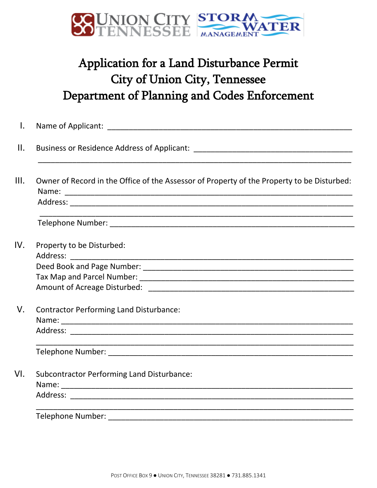

## Application for a Land Disturbance Permit City of Union City, Tennessee Department of Planning and Codes Enforcement

| Name of Applicant: Name of Applicant:                                                      |
|--------------------------------------------------------------------------------------------|
|                                                                                            |
| Owner of Record in the Office of the Assessor of Property of the Property to be Disturbed: |
|                                                                                            |
|                                                                                            |
|                                                                                            |
| Property to be Disturbed:                                                                  |
|                                                                                            |
|                                                                                            |
|                                                                                            |
|                                                                                            |
| <b>Contractor Performing Land Disturbance:</b>                                             |
|                                                                                            |
|                                                                                            |
| <b>Subcontractor Performing Land Disturbance:</b>                                          |
|                                                                                            |
|                                                                                            |
| <b>Telephone Number:</b>                                                                   |